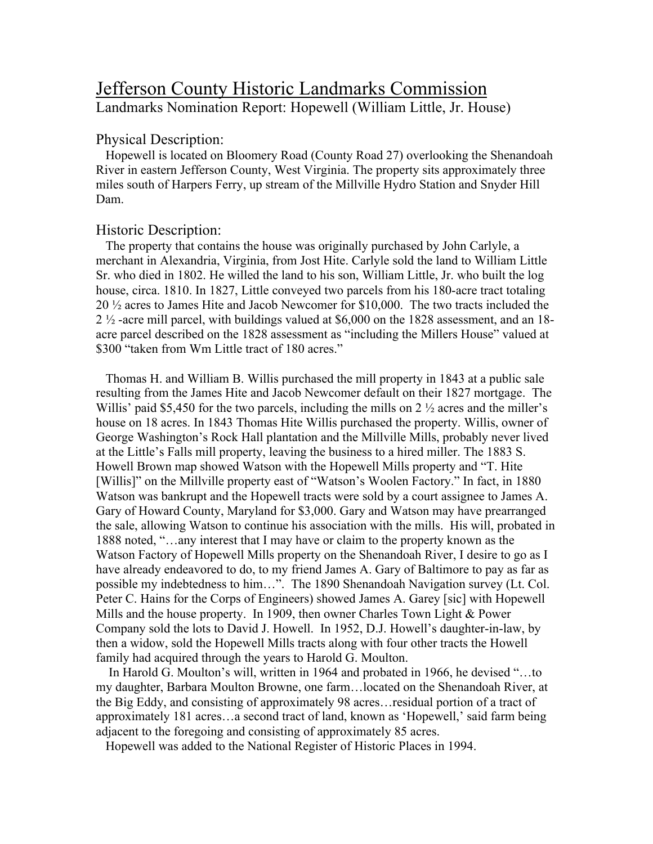# Jefferson County Historic Landmarks Commission Landmarks Nomination Report: Hopewell (William Little, Jr. House)

### Physical Description:

 Hopewell is located on Bloomery Road (County Road 27) overlooking the Shenandoah River in eastern Jefferson County, West Virginia. The property sits approximately three miles south of Harpers Ferry, up stream of the Millville Hydro Station and Snyder Hill Dam.

### Historic Description:

 The property that contains the house was originally purchased by John Carlyle, a merchant in Alexandria, Virginia, from Jost Hite. Carlyle sold the land to William Little Sr. who died in 1802. He willed the land to his son, William Little, Jr. who built the log house, circa. 1810. In 1827, Little conveyed two parcels from his 180-acre tract totaling 20 ½ acres to James Hite and Jacob Newcomer for \$10,000. The two tracts included the 2 ½ -acre mill parcel, with buildings valued at \$6,000 on the 1828 assessment, and an 18 acre parcel described on the 1828 assessment as "including the Millers House" valued at \$300 "taken from Wm Little tract of 180 acres."

 Thomas H. and William B. Willis purchased the mill property in 1843 at a public sale resulting from the James Hite and Jacob Newcomer default on their 1827 mortgage. The Willis' paid \$5,450 for the two parcels, including the mills on 2  $\frac{1}{2}$  acres and the miller's house on 18 acres. In 1843 Thomas Hite Willis purchased the property. Willis, owner of George Washington's Rock Hall plantation and the Millville Mills, probably never lived at the Little's Falls mill property, leaving the business to a hired miller. The 1883 S. Howell Brown map showed Watson with the Hopewell Mills property and "T. Hite [Willis]" on the Millville property east of "Watson's Woolen Factory." In fact, in 1880 Watson was bankrupt and the Hopewell tracts were sold by a court assignee to James A. Gary of Howard County, Maryland for \$3,000. Gary and Watson may have prearranged the sale, allowing Watson to continue his association with the mills. His will, probated in 1888 noted, "…any interest that I may have or claim to the property known as the Watson Factory of Hopewell Mills property on the Shenandoah River, I desire to go as I have already endeavored to do, to my friend James A. Gary of Baltimore to pay as far as possible my indebtedness to him…". The 1890 Shenandoah Navigation survey (Lt. Col. Peter C. Hains for the Corps of Engineers) showed James A. Garey [sic] with Hopewell Mills and the house property. In 1909, then owner Charles Town Light & Power Company sold the lots to David J. Howell. In 1952, D.J. Howell's daughter-in-law, by then a widow, sold the Hopewell Mills tracts along with four other tracts the Howell family had acquired through the years to Harold G. Moulton.

 In Harold G. Moulton's will, written in 1964 and probated in 1966, he devised "…to my daughter, Barbara Moulton Browne, one farm…located on the Shenandoah River, at the Big Eddy, and consisting of approximately 98 acres…residual portion of a tract of approximately 181 acres…a second tract of land, known as 'Hopewell,' said farm being adjacent to the foregoing and consisting of approximately 85 acres.

Hopewell was added to the National Register of Historic Places in 1994.